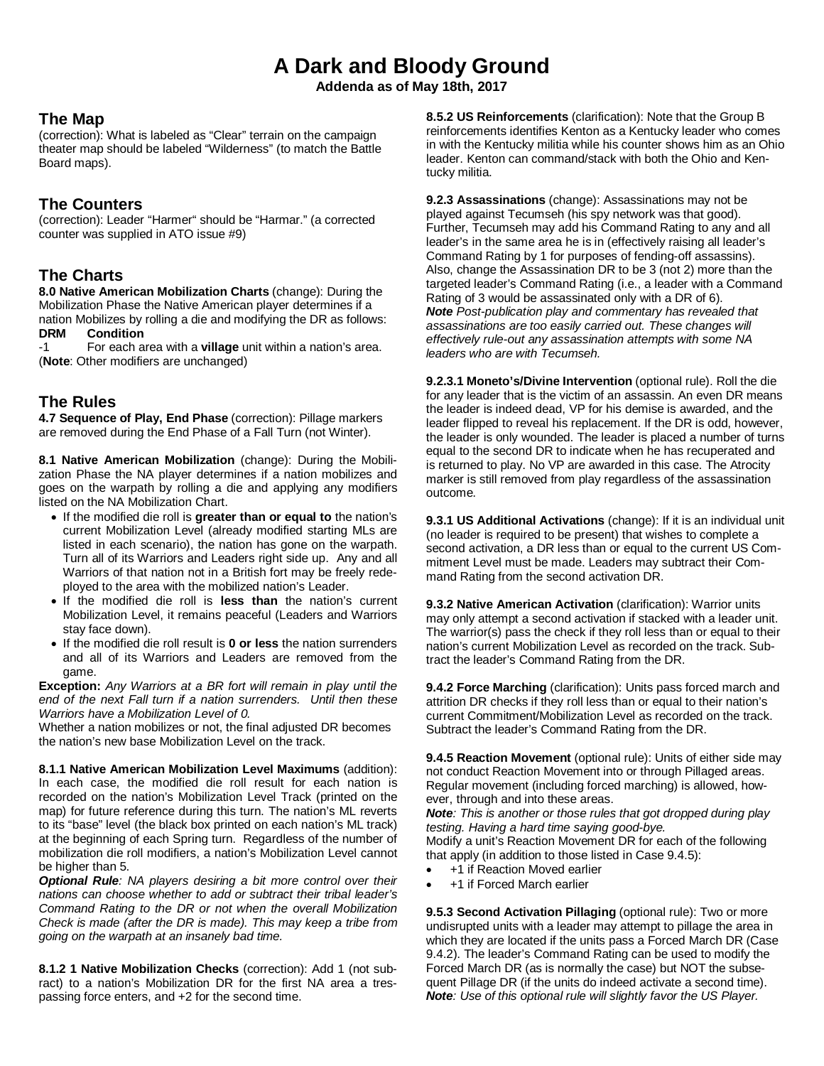# **A Dark and Bloody Ground**

**Addenda as of May 18th, 2017**

#### **The Map**

(correction): What is labeled as "Clear" terrain on the campaign theater map should be labeled "Wilderness" (to match the Battle Board maps).

#### **The Counters**

(correction): Leader "Harmer" should be "Harmar." (a corrected counter was supplied in ATO issue #9)

## **The Charts**

**8.0 Native American Mobilization Charts** (change): During the Mobilization Phase the Native American player determines if a nation Mobilizes by rolling a die and modifying the DR as follows:<br>DRM Condition **Condition** 

-1 For each area with a **village** unit within a nation's area. (**Note**: Other modifiers are unchanged)

## **The Rules**

**4.7 Sequence of Play, End Phase** (correction): Pillage markers are removed during the End Phase of a Fall Turn (not Winter).

**8.1 Native American Mobilization** (change): During the Mobilization Phase the NA player determines if a nation mobilizes and goes on the warpath by rolling a die and applying any modifiers listed on the NA Mobilization Chart.

- If the modified die roll is **greater than or equal to** the nation's current Mobilization Level (already modified starting MLs are listed in each scenario), the nation has gone on the warpath. Turn all of its Warriors and Leaders right side up. Any and all Warriors of that nation not in a British fort may be freely redeployed to the area with the mobilized nation's Leader.
- If the modified die roll is **less than** the nation's current Mobilization Level, it remains peaceful (Leaders and Warriors stay face down).
- If the modified die roll result is **0 or less** the nation surrenders and all of its Warriors and Leaders are removed from the game.

**Exception:** *Any Warriors at a BR fort will remain in play until the end of the next Fall turn if a nation surrenders. Until then these Warriors have a Mobilization Level of 0.*

Whether a nation mobilizes or not, the final adjusted DR becomes the nation's new base Mobilization Level on the track.

**8.1.1 Native American Mobilization Level Maximums** (addition): In each case, the modified die roll result for each nation is recorded on the nation's Mobilization Level Track (printed on the map) for future reference during this turn. The nation's ML reverts to its "base" level (the black box printed on each nation's ML track) at the beginning of each Spring turn. Regardless of the number of mobilization die roll modifiers, a nation's Mobilization Level cannot be higher than 5.

*Optional Rule: NA players desiring a bit more control over their nations can choose whether to add or subtract their tribal leader's Command Rating to the DR or not when the overall Mobilization Check is made (after the DR is made). This may keep a tribe from going on the warpath at an insanely bad time.*

**8.1.2 1 Native Mobilization Checks** (correction): Add 1 (not subract) to a nation's Mobilization DR for the first NA area a trespassing force enters, and +2 for the second time.

**8.5.2 US Reinforcements** (clarification): Note that the Group B reinforcements identifies Kenton as a Kentucky leader who comes in with the Kentucky militia while his counter shows him as an Ohio leader. Kenton can command/stack with both the Ohio and Kentucky militia.

**9.2.3 Assassinations** (change): Assassinations may not be played against Tecumseh (his spy network was that good). Further, Tecumseh may add his Command Rating to any and all leader's in the same area he is in (effectively raising all leader's Command Rating by 1 for purposes of fending-off assassins). Also, change the Assassination DR to be 3 (not 2) more than the targeted leader's Command Rating (i.e., a leader with a Command Rating of 3 would be assassinated only with a DR of 6). *Note Post-publication play and commentary has revealed that assassinations are too easily carried out. These changes will effectively rule-out any assassination attempts with some NA leaders who are with Tecumseh.*

**9.2.3.1 Moneto's/Divine Intervention** (optional rule). Roll the die for any leader that is the victim of an assassin. An even DR means the leader is indeed dead, VP for his demise is awarded, and the leader flipped to reveal his replacement. If the DR is odd, however, the leader is only wounded. The leader is placed a number of turns equal to the second DR to indicate when he has recuperated and is returned to play. No VP are awarded in this case. The Atrocity marker is still removed from play regardless of the assassination outcome.

**9.3.1 US Additional Activations** (change): If it is an individual unit (no leader is required to be present) that wishes to complete a second activation, a DR less than or equal to the current US Commitment Level must be made. Leaders may subtract their Command Rating from the second activation DR.

**9.3.2 Native American Activation** (clarification): Warrior units may only attempt a second activation if stacked with a leader unit. The warrior(s) pass the check if they roll less than or equal to their nation's current Mobilization Level as recorded on the track. Subtract the leader's Command Rating from the DR.

**9.4.2 Force Marching** (clarification): Units pass forced march and attrition DR checks if they roll less than or equal to their nation's current Commitment/Mobilization Level as recorded on the track. Subtract the leader's Command Rating from the DR.

**9.4.5 Reaction Movement** (optional rule): Units of either side may not conduct Reaction Movement into or through Pillaged areas. Regular movement (including forced marching) is allowed, however, through and into these areas.

*Note: This is another or those rules that got dropped during play testing. Having a hard time saying good-bye.*

Modify a unit's Reaction Movement DR for each of the following that apply (in addition to those listed in Case 9.4.5):

- +1 if Reaction Moved earlier
- +1 if Forced March earlier

**9.5.3 Second Activation Pillaging** (optional rule): Two or more undisrupted units with a leader may attempt to pillage the area in which they are located if the units pass a Forced March DR (Case 9.4.2). The leader's Command Rating can be used to modify the Forced March DR (as is normally the case) but NOT the subsequent Pillage DR (if the units do indeed activate a second time). *Note: Use of this optional rule will slightly favor the US Player.*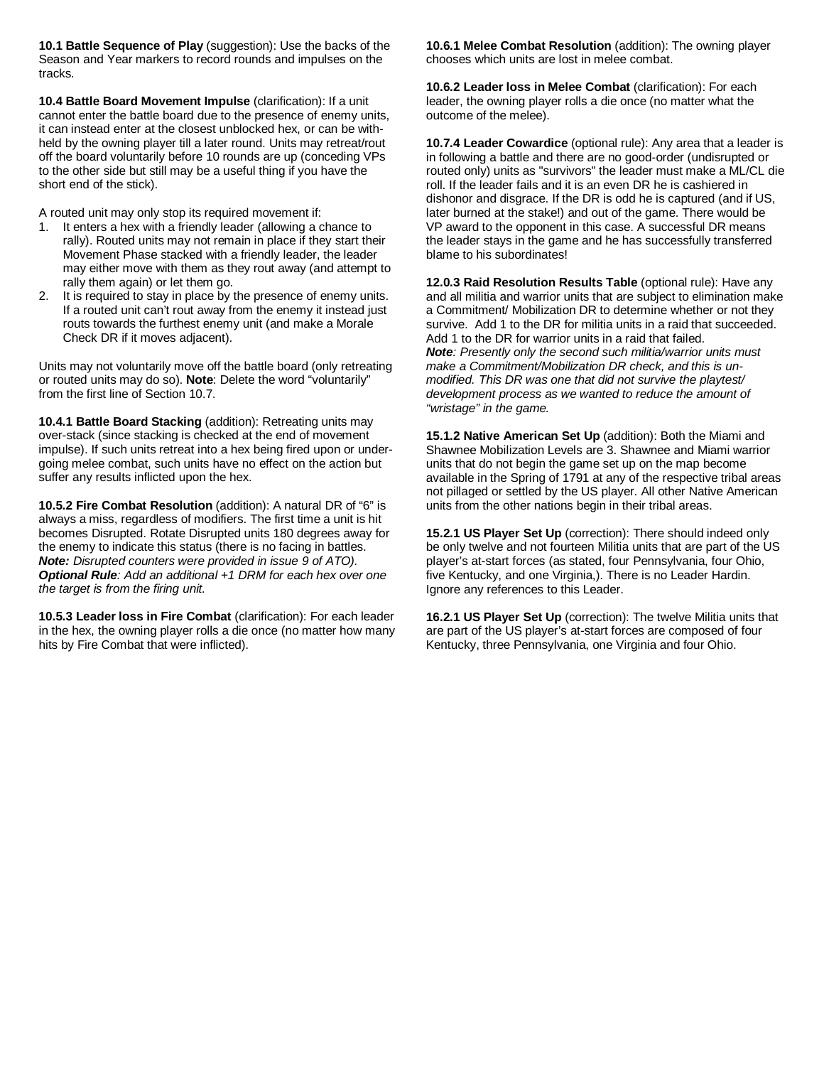**10.1 Battle Sequence of Play** (suggestion): Use the backs of the Season and Year markers to record rounds and impulses on the tracks.

**10.4 Battle Board Movement Impulse** (clarification): If a unit cannot enter the battle board due to the presence of enemy units, it can instead enter at the closest unblocked hex, or can be withheld by the owning player till a later round. Units may retreat/rout off the board voluntarily before 10 rounds are up (conceding VPs to the other side but still may be a useful thing if you have the short end of the stick).

A routed unit may only stop its required movement if:

- 1. It enters a hex with a friendly leader (allowing a chance to rally). Routed units may not remain in place if they start their Movement Phase stacked with a friendly leader, the leader may either move with them as they rout away (and attempt to rally them again) or let them go.
- 2. It is required to stay in place by the presence of enemy units. If a routed unit can't rout away from the enemy it instead just routs towards the furthest enemy unit (and make a Morale Check DR if it moves adjacent).

Units may not voluntarily move off the battle board (only retreating or routed units may do so). **Note**: Delete the word "voluntarily" from the first line of Section 10.7.

**10.4.1 Battle Board Stacking** (addition): Retreating units may over-stack (since stacking is checked at the end of movement impulse). If such units retreat into a hex being fired upon or undergoing melee combat, such units have no effect on the action but suffer any results inflicted upon the hex.

**10.5.2 Fire Combat Resolution** (addition): A natural DR of "6" is always a miss, regardless of modifiers. The first time a unit is hit becomes Disrupted. Rotate Disrupted units 180 degrees away for the enemy to indicate this status (there is no facing in battles. *Note: Disrupted counters were provided in issue 9 of ATO). Optional Rule: Add an additional +1 DRM for each hex over one the target is from the firing unit.*

**10.5.3 Leader loss in Fire Combat** (clarification): For each leader in the hex, the owning player rolls a die once (no matter how many hits by Fire Combat that were inflicted).

**10.6.1 Melee Combat Resolution** (addition): The owning player chooses which units are lost in melee combat.

**10.6.2 Leader loss in Melee Combat** (clarification): For each leader, the owning player rolls a die once (no matter what the outcome of the melee).

**10.7.4 Leader Cowardice** (optional rule): Any area that a leader is in following a battle and there are no good-order (undisrupted or routed only) units as "survivors" the leader must make a ML/CL die roll. If the leader fails and it is an even DR he is cashiered in dishonor and disgrace. If the DR is odd he is captured (and if US, later burned at the stake!) and out of the game. There would be VP award to the opponent in this case. A successful DR means the leader stays in the game and he has successfully transferred blame to his subordinates!

**12.0.3 Raid Resolution Results Table** (optional rule): Have any and all militia and warrior units that are subject to elimination make a Commitment/ Mobilization DR to determine whether or not they survive. Add 1 to the DR for militia units in a raid that succeeded. Add 1 to the DR for warrior units in a raid that failed. *Note: Presently only the second such militia/warrior units must make a Commitment/Mobilization DR check, and this is unmodified. This DR was one that did not survive the playtest/ development process as we wanted to reduce the amount of "wristage" in the game.*

**15.1.2 Native American Set Up** (addition): Both the Miami and Shawnee Mobilization Levels are 3. Shawnee and Miami warrior units that do not begin the game set up on the map become available in the Spring of 1791 at any of the respective tribal areas not pillaged or settled by the US player. All other Native American units from the other nations begin in their tribal areas.

**15.2.1 US Player Set Up** (correction): There should indeed only be only twelve and not fourteen Militia units that are part of the US player's at-start forces (as stated, four Pennsylvania, four Ohio, five Kentucky, and one Virginia,). There is no Leader Hardin. Ignore any references to this Leader.

**16.2.1 US Player Set Up** (correction): The twelve Militia units that are part of the US player's at-start forces are composed of four Kentucky, three Pennsylvania, one Virginia and four Ohio.